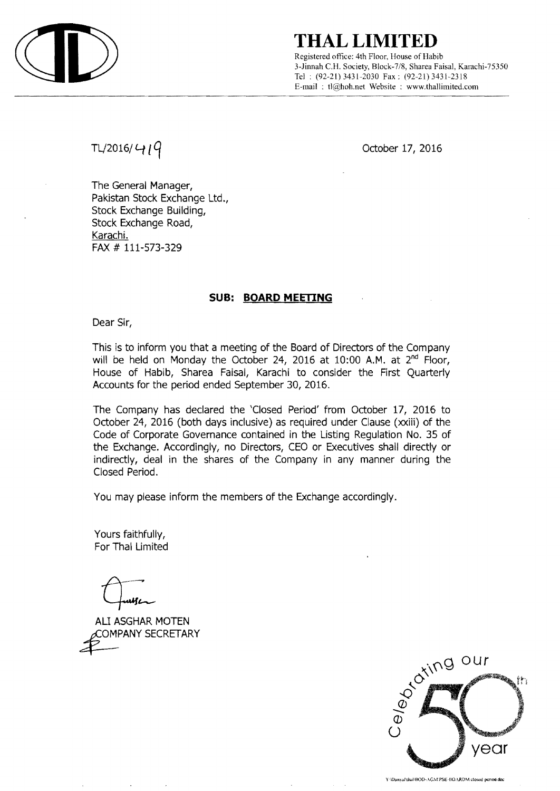

## **THAL LIMITED**

Registered office: 4th Floor, House of Habib 3-.Iinnah C.H. Society, Block-7/8, Sharea Faisal. Karachi-75350 Tel: (92-21) 3431-2030 Fax: (92-21) 3431-2318 E-mail: tl@hoh.net Website : www.thallimited.com

TL/2016/  $419$ 

The General Manager, Pakistan Stock Exchange Ltd., Stock Exchange Building, Stock Exchange Road, Karachi. FAX # 111-573-329

### **SUB: BOARD MEETING**

Dear Sir,

This is to inform you that a meeting of the Board of Directors of the Company will be held on Monday the October 24, 2016 at 10:00 A.M. at 2<sup>nd</sup> Floor, House of Habib, Sharea Faisal, Karachi to consider the First Quarterly Accounts for the period ended September 30, 2016.

The Company has declared the 'Closed Period' from October 17, 2016 to October 24, 2016 (both days inclusive) as required under Clause (xxiii) of the Code of Corporate Governance contained in the Listing Regulation No. 35 of the Exchange. Accordingly, no Directors, CEO or Executives shall directly or indirectly, deal in the shares of the Company in any manner during the Closed Period.

You may please inform the members of the Exchange accordingly.

Yours faithfully, For Thai Limited

щL

ALI ASGHAR MOTEN COMPANY SECRETARY



Y3DanyaPthaBBOD-AGMPSE-BOARDM closed period doc